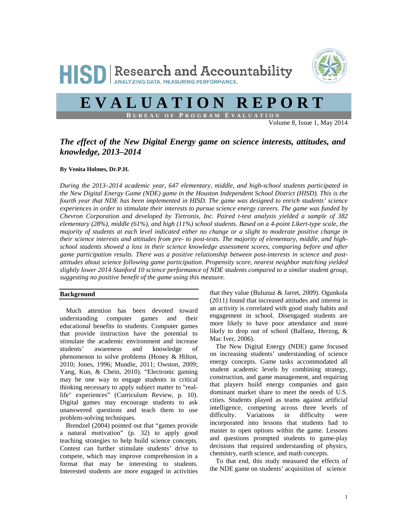



# **EVALUATION REPORT**

**B UREAU OF P ROGRAM E VALUATION**

Volume 8, Issue 1, May 2014

## *The effect of the New Digital Energy game on science interests, attitudes, and knowledge, 2013–2014*

## **By Venita Holmes, Dr.P.H.**

*During the 2013–2014 academic year, 647 elementary, middle, and high-school students participated in the New Digital Energy Game (NDE) game in the Houston Independent School District (HISD). This is the fourth year that NDE has been implemented in HISD. The game was designed to enrich students' science experiences in order to stimulate their interests to pursue science energy careers. The game was funded by Chevron Corporation and developed by Tietronix, Inc. Paired t-test analysis yielded a sample of 382 elementary (28%), middle (61%), and high (11%) school students. Based on a 4-point Likert-type scale, the majority of students at each level indicated either no change or a slight to moderate positive change in their science interests and attitudes from pre- to post-tests. The majority of elementary, middle, and highschool students showed a loss in their science knowledge assessment scores, comparing before and after game participation results. There was a positive relationship between post-interests in science and postattitudes about science following game participation. Propensity score, nearest neighbor matching yielded slightly lower 2014 Stanford 10 science performance of NDE students compared to a similar student group, suggesting no positive benefit of the game using this measure.* 

## **Background**

Much attention has been devoted toward understanding computer games and their educational benefits to students. Computer games that provide instruction have the potential to stimulate the academic environment and increase students' awareness and knowledge of phenomenon to solve problems (Honey & Hilton, 2010; Jones, 1996; Mundie, 2011; Owston, 2009; Yang, Kun, & Chein, 2010). "Electronic gaming may be one way to engage students in critical thinking necessary to apply subject matter to "reallife" experiences" (Curriculum Review, p. 10). Digital games may encourage students to ask unanswered questions and teach them to use problem-solving techniques.

Brendzel (2004) pointed out that "games provide a natural motivation" (p. 32) to apply good teaching strategies to help build science concepts. Contest can further stimulate students' drive to compete, which may improve comprehension in a format that may be interesting to students. Interested students are more engaged in activities

that they value (Bulunuz & Jarret, 2009). Ogunkola (2011) found that increased attitudes and interest in an activity is correlated with good study habits and engagement in school. Disengaged students are more likely to have poor attendance and more likely to drop out of school (Balfanz, Herzog, & Mac Iver, 2006).

The New Digital Energy (NDE) game focused on increasing students' understanding of science energy concepts. Game tasks accommodated all student academic levels by combining strategy, construction, and game management, and requiring that players build energy companies and gain dominant market share to meet the needs of U.S. cities. Students played as teams against artificial intelligence, competing across three levels of difficulty. Variations in difficulty were incorporated into lessons that students had to master to open options within the game. Lessons and questions prompted students to game-play decisions that required understanding of physics, chemistry, earth science, and math concepts.

To that end, this study measured the effects of the NDE game on students' acquisition of science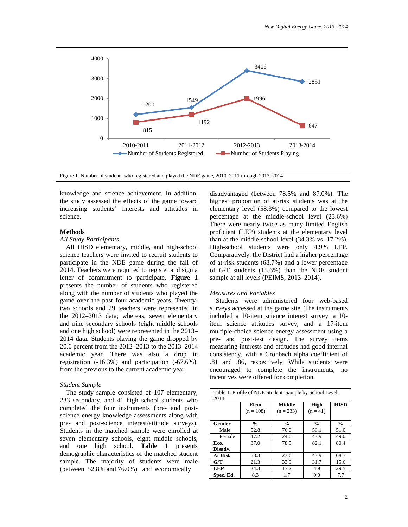

Figure 1. Number of students who registered and played the NDE game, 2010–2011 through 2013–2014

knowledge and science achievement. In addition, the study assessed the effects of the game toward increasing students' interests and attitudes in science.

#### **Methods**

#### *All Study Participants*

All HISD elementary, middle, and high-school science teachers were invited to recruit students to participate in the NDE game during the fall of 2014. Teachers were required to register and sign a letter of commitment to participate. **Figure 1** presents the number of students who registered along with the number of students who played the game over the past four academic years. Twentytwo schools and 29 teachers were represented in the 2012–2013 data; whereas, seven elementary and nine secondary schools (eight middle schools and one high school) were represented in the 2013– 2014 data. Students playing the game dropped by 20.6 percent from the 2012–2013 to the 2013–2014 academic year. There was also a drop in registration (-16.3%) and participation (-67.6%), from the previous to the current academic year.

#### *Student Sample*

The study sample consisted of 107 elementary, 233 secondary, and 41 high school students who completed the four instruments (pre- and postscience energy knowledge assessments along with pre- and post-science interest/attitude surveys). Students in the matched sample were enrolled at seven elementary schools, eight middle schools, and one high school. **Table 1** presents demographic characteristics of the matched student sample. The majority of students were male (between 52.8% and 76.0%) and economically

disadvantaged (between 78.5% and 87.0%). The highest proportion of at-risk students was at the elementary level (58.3%) compared to the lowest percentage at the middle-school level (23.6%) There were nearly twice as many limited English proficient (LEP) students at the elementary level than at the middle-school level (34.3% vs. 17.2%). High-school students were only 4.9% LEP. Comparatively, the District had a higher percentage of at-risk students (68.7%) and a lower percentage of G/T students (15.6%) than the NDE student sample at all levels (PEIMS, 2013–2014).

#### *Measures and Variables*

Students were administered four web-based surveys accessed at the game site. The instruments included a 10-item science interest survey, a 10 item science attitudes survey, and a 17-item multiple-choice science energy assessment using a pre- and post-test design. The survey items measuring interests and attitudes had good internal consistency, with a Cronbach alpha coefficient of .81 and .86, respectively. While students were encouraged to complete the instruments, no incentives were offered for completion.

| Table 1: Profile of NDE Student Sample by School Level,<br>2014 |                     |                       |                    |               |  |  |  |  |
|-----------------------------------------------------------------|---------------------|-----------------------|--------------------|---------------|--|--|--|--|
|                                                                 | Elem<br>$(n = 108)$ | Middle<br>$(n = 233)$ | High<br>$(n = 41)$ | <b>HISD</b>   |  |  |  |  |
| Gender                                                          | $\frac{0}{0}$       | $\frac{0}{0}$         | $\frac{0}{0}$      | $\frac{0}{0}$ |  |  |  |  |
| Male                                                            | 52.8                | 76.0                  | 56.1               | 51.0          |  |  |  |  |
| Female                                                          | 47.2                | 24.0                  | 43.9               | 49.0          |  |  |  |  |
| Eco.<br>Disadv.                                                 | 87.0                | 78.5                  | 82.1               | 80.4          |  |  |  |  |
| At Risk                                                         | 58.3                | 23.6                  | 43.9               | 68.7          |  |  |  |  |
| G/T                                                             | 21.3                | 33.9                  | 31.7               | 15.6          |  |  |  |  |
| <b>LEP</b>                                                      | 34.3                | 17.2                  | 4.9                | 29.5          |  |  |  |  |
| Spec. Ed.                                                       | 8.3                 | 1.7                   | 0.0                | 7.7           |  |  |  |  |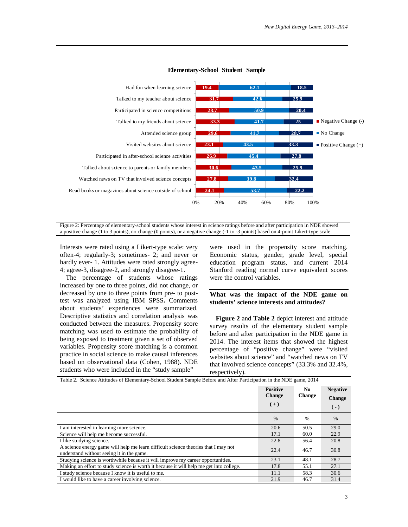

#### **Elementary-School Student Sample**

Figure 2: Percentage of elementary-school students whose interest in science ratings before and after participation in NDE showed a positive change (1 to 3 points), no change (0 points), or a negative change (-1 to -3 points) based on 4-point Likert-type scale

Interests were rated using a Likert-type scale: very often-4; regularly-3; sometimes- 2; and never or hardly ever- 1. Attitudes were rated strongly agree-4; agree-3, disagree-2, and strongly disagree-1.

The percentage of students whose ratings increased by one to three points, did not change, or decreased by one to three points from pre- to posttest was analyzed using IBM SPSS**.** Comments about students' experiences were summarized. Descriptive statistics and correlation analysis was conducted between the measures. Propensity score matching was used to estimate the probability of being exposed to treatment given a set of observed variables. Propensity score matching is a common practice in social science to make causal inferences based on observational data (Cohen, 1988). NDE students who were included in the "study sample"

were used in the propensity score matching. Economic status, gender, grade level, special education program status, and current 2014 Stanford reading normal curve equivalent scores were the control variables.

#### **What was the impact of the NDE game on students' science interests and attitudes?**

**Figure 2** and **Table 2** depict interest and attitude survey results of the elementary student sample before and after participation in the NDE game in 2014. The interest items that showed the highest percentage of "positive change" were "visited websites about science" and "watched news on TV that involved science concepts" (33.3% and 32.4%, respectively).

|                                                                                                                                 | <b>Positive</b><br><b>Change</b><br>$(+)$ | No.<br><b>Change</b> | <b>Negative</b><br><b>Change</b><br>$(-)$ |
|---------------------------------------------------------------------------------------------------------------------------------|-------------------------------------------|----------------------|-------------------------------------------|
|                                                                                                                                 | $\%$                                      | $\frac{0}{0}$        | $\%$                                      |
| I am interested in learning more science.                                                                                       | 20.6                                      | 50.5                 | 29.0                                      |
| Science will help me become successful.                                                                                         | 17.1                                      | 60.0                 | 22.9                                      |
| I like studying science.                                                                                                        | 22.8                                      | 56.4                 | 20.8                                      |
| A science energy game will help me learn difficult science theories that I may not<br>understand without seeing it in the game. | 22.4                                      | 46.7                 | 30.8                                      |
| Studying science is worthwhile because it will improve my career opportunities.                                                 | 23.1                                      | 48.1                 | 28.7                                      |
| Making an effort to study science is worth it because it will help me get into college.                                         | 17.8                                      | 55.1                 | 27.1                                      |
| I study science because I know it is useful to me.                                                                              | 11.1                                      | 58.3                 | 30.6                                      |
| I would like to have a career involving science.                                                                                | 21.9                                      | 46.7                 | 31.4                                      |

Table 2. Science Attitudes of Elementary-School Student Sample Before and After Participation in the NDE game, 2014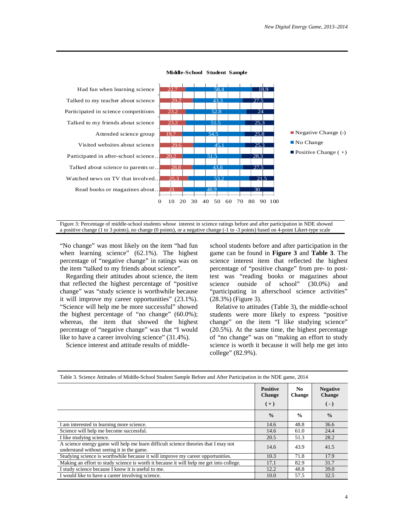

#### **Middle-School Student Sample**

Figure 3: Percentage of middle-school students whose interest in science ratings before and after participation in NDE showed a positive change (1 to 3 points), no change (0 points), or a negative change (-1 to -3 points) based on 4-point Likert-type scale

"No change" was most likely on the item "had fun when learning science" (62.1%). The highest percentage of "negative change" in ratings was on the item "talked to my friends about science".

Regarding their attitudes about science, the item that reflected the highest percentage of "positive change" was "study science is worthwhile because it will improve my career opportunities" (23.1%). "Science will help me be more successful" showed the highest percentage of "no change" (60.0%); whereas, the item that showed the highest percentage of "negative change" was that "I would like to have a career involving science" (31.4%).

Science interest and attitude results of middle-

school students before and after participation in the game can be found in **Figure 3** and **Table 3**. The science interest item that reflected the highest percentage of "positive change" from pre- to posttest was "reading books or magazines about science outside of school" (30.0%) and "participating in afterschool science activities" (28.3%) (Figure 3).

Relative to attitudes (Table 3), the middle-school students were more likely to express "positive change" on the item "I like studying science" (20.5%). At the same time, the highest percentage of "no change" was on "making an effort to study science is worth it because it will help me get into college" (82.9%).

| Table 3. Science Attitudes of Middle-School Student Sample Before and After Family and in the NDE game, 2014                    |                                                                   |               |               |  |  |
|---------------------------------------------------------------------------------------------------------------------------------|-------------------------------------------------------------------|---------------|---------------|--|--|
|                                                                                                                                 | <b>Positive</b><br>No.<br><b>Change</b><br><b>Change</b><br>$(+)$ |               |               |  |  |
|                                                                                                                                 | $\frac{0}{0}$                                                     | $\frac{0}{0}$ | $\frac{0}{0}$ |  |  |
| I am interested in learning more science.                                                                                       | 14.6                                                              | 48.8          | 36.6          |  |  |
| Science will help me become successful.                                                                                         | 14.6                                                              | 61.0          | 24.4          |  |  |
| I like studying science.                                                                                                        | 20.5                                                              | 51.3          | 28.2          |  |  |
| A science energy game will help me learn difficult science theories that I may not<br>understand without seeing it in the game. | 14.6                                                              | 43.9          | 41.5          |  |  |
| Studying science is worthwhile because it will improve my career opportunities.                                                 | 10.3                                                              | 71.8          | 17.9          |  |  |
| Making an effort to study science is worth it because it will help me get into college.                                         | 17.1                                                              | 82.9          | 31.7          |  |  |
| I study science because I know it is useful to me.                                                                              | 12.2                                                              | 48.8          | 39.0          |  |  |
| I would like to have a career involving science.                                                                                | 10.0                                                              | 57.5          | 32.5          |  |  |

Table 3. Science Attitudes of Middle-School Student Sample Before and After Participation in the NDE game, 2014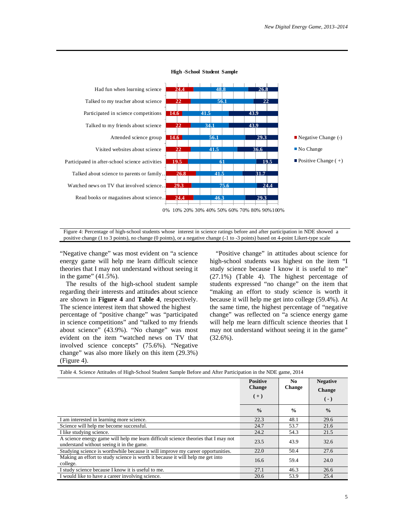

**High -School Student Sample**

Figure 4: Percentage of high-school students whose interest in science ratings before and after participation in NDE showed a positive change (1 to 3 points), no change (0 points), or a negative change (-1 to -3 points) based on 4-point Likert-type scale

"Negative change" was most evident on "a science energy game will help me learn difficult science theories that I may not understand without seeing it in the game"  $(41.5\%)$ .

The results of the high-school student sample regarding their interests and attitudes about science are shown in **Figure 4** and **Table 4**, respectively. The science interest item that showed the highest percentage of "positive change" was "participated in science competitions" and "talked to my friends about science" (43.9%). "No change" was most evident on the item "watched news on TV that involved science concepts" (75.6%). "Negative change" was also more likely on this item (29.3%) (Figure 4).

"Positive change" in attitudes about science for high-school students was highest on the item "I study science because I know it is useful to me" (27.1%) (Table 4). The highest percentage of students expressed "no change" on the item that "making an effort to study science is worth it because it will help me get into college (59.4%). At the same time, the highest percentage of "negative change" was reflected on "a science energy game will help me learn difficult science theories that I may not understand without seeing it in the game"  $(32.6\%)$ .

| Table 4. Science Attitudes of High-School Student Sample Before and After Participation in the NDE game, 2014                   |                                           |                      |                                           |  |  |  |  |
|---------------------------------------------------------------------------------------------------------------------------------|-------------------------------------------|----------------------|-------------------------------------------|--|--|--|--|
|                                                                                                                                 | <b>Positive</b><br><b>Change</b><br>$(+)$ | No.<br><b>Change</b> | <b>Negative</b><br><b>Change</b><br>$(-)$ |  |  |  |  |
|                                                                                                                                 | $\frac{0}{0}$                             | $\frac{0}{0}$        | $\frac{0}{0}$                             |  |  |  |  |
| I am interested in learning more science.                                                                                       | 22.3                                      | 48.1                 | 29.6                                      |  |  |  |  |
| Science will help me become successful.                                                                                         | 24.7                                      | 53.7                 | 21.6                                      |  |  |  |  |
| I like studying science.                                                                                                        | 24.2                                      | 54.3                 | 21.5                                      |  |  |  |  |
| A science energy game will help me learn difficult science theories that I may not<br>understand without seeing it in the game. | 23.5                                      | 43.9                 | 32.6                                      |  |  |  |  |
| Studying science is worthwhile because it will improve my career opportunities.                                                 | 22.0                                      | 50.4                 | 27.6                                      |  |  |  |  |
| Making an effort to study science is worth it because it will help me get into<br>college.                                      | 16.6                                      | 59.4                 | 24.0                                      |  |  |  |  |
| I study science because I know it is useful to me.                                                                              | 27.1                                      | 46.3                 | 26.6                                      |  |  |  |  |
| I would like to have a career involving science.                                                                                | 20.6                                      | 53.9                 | 25.4                                      |  |  |  |  |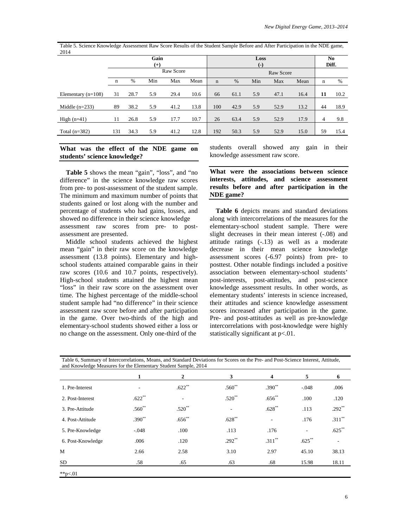Table 5. Science Knowledge Assessment Raw Score Results of the Student Sample Before and After Participation in the NDE game, 2014

|                      | Gain<br>$^{(+)}$ |      |     | Loss<br>$(-)$ |      |             |      |     | N <sub>0</sub><br>Diff. |      |                |      |
|----------------------|------------------|------|-----|---------------|------|-------------|------|-----|-------------------------|------|----------------|------|
|                      |                  |      |     | Raw Score     |      |             |      |     | Raw Score               |      |                |      |
|                      | n                | $\%$ | Min | Max           | Mean | $\mathbf n$ | %    | Min | Max                     | Mean | n              | %    |
| Elementary $(n=108)$ | 31               | 28.7 | 5.9 | 29.4          | 10.6 | 66          | 61.1 | 5.9 | 47.1                    | 16.4 | 11             | 10.2 |
| Middle $(n=233)$     | 89               | 38.2 | 5.9 | 41.2          | 13.8 | 100         | 42.9 | 5.9 | 52.9                    | 13.2 | 44             | 18.9 |
| High $(n=41)$        | 11               | 26.8 | 5.9 | 17.7          | 10.7 | 26          | 63.4 | 5.9 | 52.9                    | 17.9 | $\overline{4}$ | 9.8  |
| Total $(n=382)$      | 131              | 34.3 | 5.9 | 41.2          | 12.8 | 192         | 50.3 | 5.9 | 52.9                    | 15.0 | 59             | 15.4 |

#### **What was the effect of the NDE game on students' science knowledge?**

**Table 5** shows the mean "gain", "loss", and "no difference" in the science knowledge raw scores from pre- to post-assessment of the student sample. The minimum and maximum number of points that students gained or lost along with the number and percentage of students who had gains, losses, and showed no difference in their science knowledge assessment raw scores from pre- to postassessment are presented.

Middle school students achieved the highest mean "gain" in their raw score on the knowledge assessment (13.8 points). Elementary and highschool students attained comparable gains in their raw scores (10.6 and 10.7 points, respectively). High-school students attained the highest mean "loss" in their raw score on the assessment over time. The highest percentage of the middle-school student sample had "no difference" in their science assessment raw score before and after participation in the game. Over two-thirds of the high and elementary-school students showed either a loss or no change on the assessment. Only one-third of the

students overall showed any gain in their knowledge assessment raw score.

**What were the associations between science interests, attitudes, and science assessment results before and after participation in the NDE game?**

**Table 6** depicts means and standard deviations along with intercorrelations of the measures for the elementary-school student sample. There were slight decreases in their mean interest (-.08) and attitude ratings (-.13) as well as a moderate decrease in their mean science knowledge assessment scores (-6.97 points) from pre- to posttest. Other notable findings included a positive association between elementary-school students' post-interests, post-attitudes, and post-science knowledge assessment results. In other words, as elementary students' interests in science increased, their attitudes and science knowledge assessment scores increased after participation in the game. Pre- and post-attitudes as well as pre-knowledge intercorrelations with post-knowledge were highly statistically significant at  $p<.01$ .

Table 6, Summary of Intercorrelations, Means, and Standard Deviations for Scores on the Pre- and Post-Science Interest, Attitude, and Knowledge Measures for the Elementary Student Sample, 2014

|                   | 1           | $\overline{2}$ | 3                        | 4                        | 5                        | 6         |
|-------------------|-------------|----------------|--------------------------|--------------------------|--------------------------|-----------|
| 1. Pre-Interest   | ٠           | $.622**$       | $.560**$                 | $.390**$                 | $-.048$                  | .006      |
| 2. Post-Interest  | $.622**$    |                | $.520**$                 | $.656**$                 | .100                     | .120      |
| 3. Pre-Attitude   | $.560^{**}$ | $.520**$       | $\overline{\phantom{a}}$ | $.628**$                 | .113                     | $.292**$  |
| 4. Post-Attitude  | $.390**$    | $.656^{**}$    | $.628**$                 | $\overline{\phantom{a}}$ | .176                     | $.311***$ |
| 5. Pre-Knowledge  | $-.048$     | .100           | .113                     | .176                     | $\overline{\phantom{0}}$ | $.625***$ |
| 6. Post-Knowledge | .006        | .120           | $.292$ <sup>**</sup>     | $.311***$                | $.625***$                | $\sim$    |
| M                 | 2.66        | 2.58           | 3.10                     | 2.97                     | 45.10                    | 38.13     |
| SD.               | .58         | .65            | .63                      | .68                      | 15.98                    | 18.11     |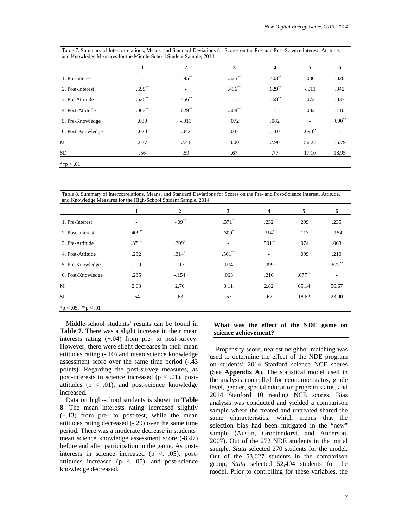|                   | 1         | 2           | 3         | 4                        | 5                        | 6        |
|-------------------|-----------|-------------|-----------|--------------------------|--------------------------|----------|
| 1. Pre-Interest   |           | $.595***$   | $.525***$ | $.403**$                 | .030                     | .020     |
| 2. Post-Interest  | $.595**$  | ٠           | $.456**$  | $.629**$                 | $-.011$                  | .042     |
| 3. Pre-Attitude   | $.525***$ | $.456^{**}$ | ٠         | $.568^{**}$              | .072                     | .037     |
| 4. Post-Attitude  | $.403**$  | $.629**$    | $.568**$  | $\overline{\phantom{a}}$ | .082                     | .110     |
| 5. Pre-Knowledge  | .030      | $-.011$     | .072      | .082                     | $\overline{\phantom{a}}$ | $.690**$ |
| 6. Post-Knowledge | .020      | .042        | .037      | .110                     | $.690**$                 |          |
| M                 | 2.37      | 2.41        | 3.00      | 2.90                     | 56.22                    | 55.79    |
| SD <sub>.</sub>   | .56       | .59         | .67       | .77                      | 17.10                    | 18.95    |

Table 7. Summary of Intercorrelations, Means, and Standard Deviations for Scores on the Pre- and Post-Science Interest, Attitude, and Knowledge Measures for the Middle-School Student Sample, 2014

 $*$  $p < .01$ 

Table 8. Summary of Intercorrelations, Means, and Standard Deviations for Scores on the Pre- and Post-Science Interest, Attitude, and Knowledge Measures for the High-School Student Sample, 2014

|                     | 1        | $\overline{2}$ | 3        | $\overline{\mathbf{4}}$ | 5        | 6         |
|---------------------|----------|----------------|----------|-------------------------|----------|-----------|
| 1. Pre-Interest     |          | $.409**$       | $.371*$  | .232                    | .299     | .235      |
| 2. Post-Interest    | $.409**$ | ٠              | $.309*$  | $.314*$                 | .113     | $-.154$   |
| 3. Pre-Attitude     | $.371*$  | $.309*$        | ٠        | $.501**$                | .074     | .063      |
| 4. Post-Attitude    | .232     | $.314*$        | $.501**$ | ۰                       | .099     | .210      |
| 5. Pre-Knowledge    | .299     | .113           | .074     | .099                    |          | $.677***$ |
| 6. Post-Knowledge   | .235     | $-.154$        | .063     | .210                    | $.677**$ | $\sim$    |
| M                   | 2.63     | 2.76           | 3.11     | 2.82                    | 65.14    | 56.67     |
| <b>SD</b>           | .64      | .63            | .63      | .67                     | 18.62    | 23.00     |
| *p < .05; **p < .01 |          |                |          |                         |          |           |

Middle-school students' results can be found in **Table 7**. There was a slight increase in their mean interests rating (+.04) from pre- to post-survey. However, there were slight decreases in their mean attitudes rating (-.10) and mean science knowledge assessment score over the same time period (-.43 points). Regarding the post-survey measures, as post-interests in science increased ( $p < .01$ ), postattitudes ( $p < .01$ ), and post-science knowledge increased.

Data on high-school students is shown in **Table 8**. The mean interests rating increased slightly (+.13) from pre- to post-test, while the mean attitudes rating decreased (-.29) over the same time period. There was a moderate decrease in students' mean science knowledge assessment score (-8.47) before and after participation in the game. As postinterests in science increased  $(p \lt$ . 05), postattitudes increased ( $p < .05$ ), and post-science knowledge decreased.

#### **What was the effect of the NDE game on science achievement?**

Propensity score, nearest neighbor matching was used to determine the effect of the NDE program on students' 2014 Stanford science NCE scores (See **Appendix A**). The statistical model used in the analysis controlled for economic status, grade level, gender, special education program status, and 2014 Stanford 10 reading NCE scores. Bias analysis was conducted and yielded a comparison sample where the treated and untreated shared the same characteristics, which means that the selection bias had been mitigated in the "new" sample (Austin, Grootendorst, and Anderson, 2007). Out of the 272 NDE students in the initial sample, *Stata* selected 270 students for the model. Out of the 53,627 students in the comparison group, *Stata* selected 52,404 students for the model. Prior to controlling for these variables, the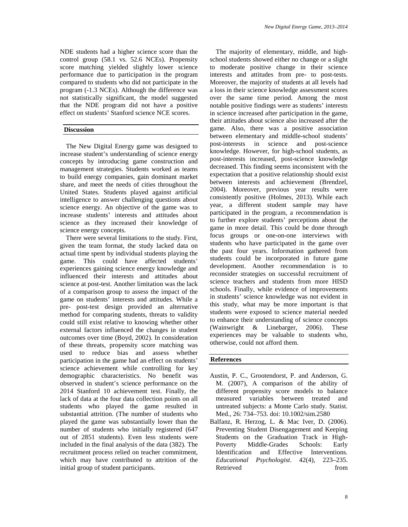NDE students had a higher science score than the control group (58.1 vs. 52.6 NCEs). Propensity score matching yielded slightly lower science performance due to participation in the program compared to students who did not participate in the program (-1.3 NCEs). Although the difference was not statistically significant, the model suggested that the NDE program did not have a positive effect on students' Stanford science NCE scores.

#### **Discussion**

The New Digital Energy game was designed to increase student's understanding of science energy concepts by introducing game construction and management strategies. Students worked as teams to build energy companies, gain dominant market share, and meet the needs of cities throughout the United States. Students played against artificial intelligence to answer challenging questions about science energy. An objective of the game was to increase students' interests and attitudes about science as they increased their knowledge of science energy concepts.

There were several limitations to the study. First, given the team format, the study lacked data on actual time spent by individual students playing the game. This could have affected students' experiences gaining science energy knowledge and influenced their interests and attitudes about science at post-test. Another limitation was the lack of a comparison group to assess the impact of the game on students' interests and attitudes. While a pre- post-test design provided an alternative method for comparing students, threats to validity could still exist relative to knowing whether other external factors influenced the changes in student outcomes over time (Boyd, 2002). In consideration of these threats, propensity score matching was used to reduce bias and assess whether participation in the game had an effect on students' science achievement while controlling for key demographic characteristics. No benefit was observed in student's science performance on the 2014 Stanford 10 achievement test. Finally, the lack of data at the four data collection points on all students who played the game resulted in substantial attrition. (The number of students who played the game was substantially lower than the number of students who initially registered (647 out of 2851 students). Even less students were included in the final analysis of the data (382). The recruitment process relied on teacher commitment, which may have contributed to attrition of the initial group of student participants.

The majority of elementary, middle, and highschool students showed either no change or a slight to moderate positive change in their science interests and attitudes from pre- to post-tests. Moreover, the majority of students at all levels had a loss in their science knowledge assessment scores over the same time period. Among the most notable positive findings were as students' interests in science increased after participation in the game, their attitudes about science also increased after the game. Also, there was a positive association between elementary and middle-school students' post-interests in science and post-science knowledge. However, for high-school students, as post-interests increased, post-science knowledge decreased. This finding seems inconsistent with the expectation that a positive relationship should exist between interests and achievement (Brendzel, 2004). Moreover, previous year results were consistently positive (Holmes, 2013). While each year, a different student sample may have participated in the program, a recommendation is to further explore students' perceptions about the game in more detail. This could be done through focus groups or one-on-one interviews with students who have participated in the game over the past four years. Information gathered from students could be incorporated in future game development. Another recommendation is to reconsider strategies on successful recruitment of science teachers and students from more HISD schools. Finally, while evidence of improvements in students' science knowledge was not evident in this study, what may be more important is that students were exposed to science material needed to enhance their understanding of science concepts<br>(Wainwright  $\&$  Linebarger, 2006). These (Wainwright  $\&$  Linebarger, 2006). experiences may be valuable to students who, otherwise, could not afford them.

### **References**

- Austin, P. C., Grootendorst, P. and Anderson, G. M. (2007), A comparison of the ability of different propensity score models to balance measured variables between treated and untreated subjects: a Monte Carlo study. Statist. Med., 26: 734–753. doi: 10.1002/sim.2580
- Balfanz, R. Herzog, L. & Mac Iver, D. (2006). Preventing Student Disengagement and Keeping Students on the Graduation Track in High-Poverty Middle-Grades Schools: Early Identification and Effective Interventions. *Educational Psychologist*. 42(4), 223–235. Retrieved from  $\sim$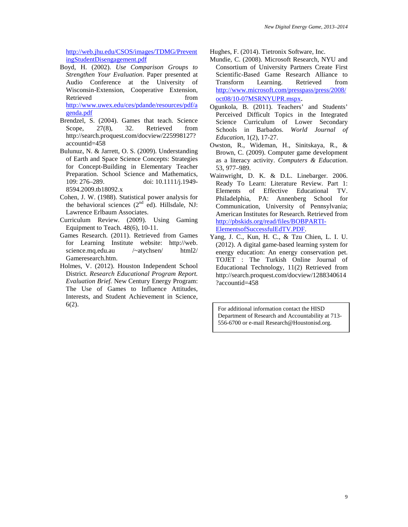[http://web.jhu.edu/CSOS/images/TDMG/Prevent](http://web.jhu.edu/CSOS/images/TDMG/PreventingStudentDisengagement.pdf) [ingStudentDisengagement.pdf](http://web.jhu.edu/CSOS/images/TDMG/PreventingStudentDisengagement.pdf)

- Boyd, H. (2002). *Use Comparison Groups to Strengthen Your Evaluation*. Paper presented at Audio Conference at the University of Wisconsin-Extension, Cooperative Extension, Retrieved from from [http://www.uwex.edu/ces/pdande/resources/pdf/a](http://www.uwex.edu/ces/pdande/resources/pdf/agenda.pdf) [genda.pdf](http://www.uwex.edu/ces/pdande/resources/pdf/agenda.pdf)
- Brendzel, S. (2004). Games that teach. Science Scope, 27(8), 32. Retrieved from http://search.proquest.com/docview/225998127? accountid=458
- Bulunuz, N. & Jarrett, O. S. (2009). Understanding of Earth and Space Science Concepts: Strategies for Concept-Building in Elementary Teacher Preparation. School Science and Mathematics, 109: 276–289. doi: 10.1111/j.1949- 8594.2009.tb18092.x
- Cohen, J. W. (1988). Statistical power analysis for the behavioral sciences  $(2<sup>nd</sup>$  ed). Hillsdale, NJ: Lawrence Erlbaum Associates.
- Curriculum Review. (2009). Using Gaming Equipment to Teach. 48(6), 10-11.
- Games Research. (2011). Retrieved from Games for Learning Institute website: http://web. science.mq.edu.au /~atychsen/ html2/ Gameresearch.htm.
- Holmes, V. (2012). Houston Independent School District. *Research Educational Program Report. Evaluation Brief.* New Century Energy Program: The Use of Games to Influence Attitudes, Interests, and Student Achievement in Science, 6(2).

Hughes, F. (2014). Tietronix Software, Inc.

- Mundie, C. (2008). Microsoft Research, NYU and Consortium of University Partners Create First Scientific-Based Game Research Alliance to Transform Learning. Retrieved from [http://www.microsoft.com/presspass/press/2008/](http://www.microsoft.com/presspass/press/2008/oct08/10-07MSRNYUPR.mspx) [oct08/10-07MSRNYUPR.mspx.](http://www.microsoft.com/presspass/press/2008/oct08/10-07MSRNYUPR.mspx)
- Ogunkola, B. (2011). Teachers' and Students' Perceived Difficult Topics in the Integrated Science Curriculum of Lower Secondary Schools in Barbados. *World Journal of Education*, 1(2), 17-27.
- Owston, R., Wideman, H., Sinitskaya, R., & Brown, C. (2009). Computer game development as a literacy activity. *Computers & Education*. 53, 977–989.
- Wainwright, D. K. & D.L. Linebarger. 2006. Ready To Learn: Literature Review. Part 1: Elements of Effective Educational TV. Philadelphia, PA: Annenberg School for Communication, University of Pennsylvania; American Institutes for Research. Retrieved from [http://pbskids.org/read/files/BOBPARTI-](http://pbskids.org/read/files/BOBPARTI-ElementsofSuccessfulEdTV.PDF)[ElementsofSuccessfulEdTV.PDF.](http://pbskids.org/read/files/BOBPARTI-ElementsofSuccessfulEdTV.PDF)
- Yang, J. C., Kun, H. C., & Tzu Chien, L. I. U. (2012). A digital game-based learning system for energy education: An energy conservation pet. TOJET : The Turkish Online Journal of Educational Technology, 11(2) Retrieved from http://search.proquest.com/docview/1288340614 ?accountid=458

For additional information contact the HISD Department of Research and Accountability at 713- 556-6700 or e-mail Research@Houstonisd.org.